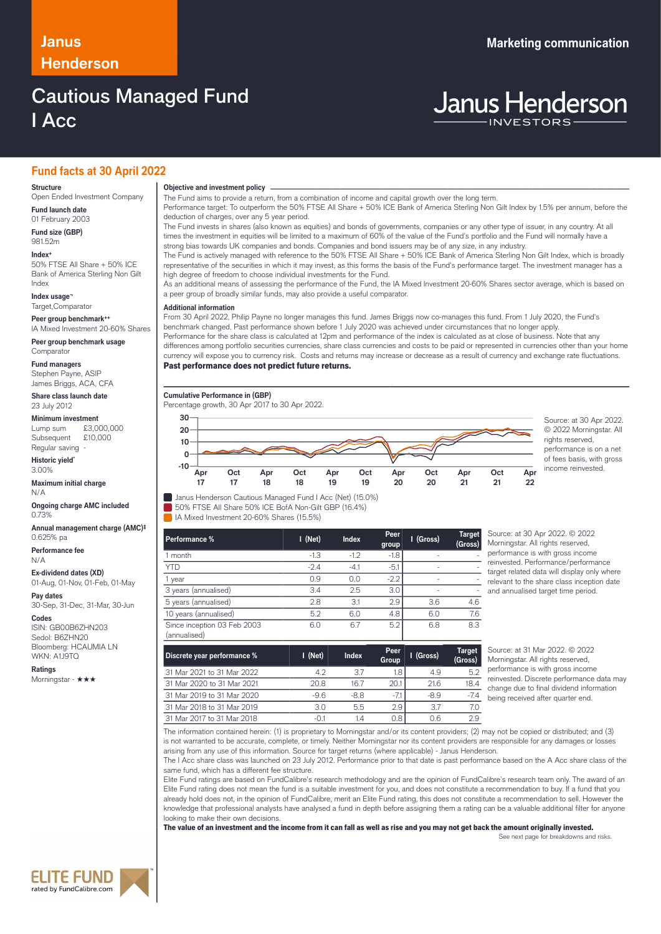# **Henderson**

# Cautious Managed Fund I Acc

## **Fund facts at 30 April 2022**

#### **Structure**

Open Ended Investment Company **Fund launch date**

01 February 2003 **Fund size (GBP)**

981.52m **Index+** 50% FTSE All Share + 50% ICE Bank of America Sterling Non Gilt Index

**Index usage¬** Target,Comparator

**Peer group benchmark++** IA Mixed Investment 20-60% Shares

**Peer group benchmark usage** Comparator

# **Fund managers**

Stephen Payne, ASIP James Briggs, ACA, CFA

**Share class launch date** 23 July 2012

## **Minimum investment**

Lump sum £3,000,000 Subsequent £10,000 Regular saving

**Historic yield\*** 3.00%

### **Maximum initial charge**

N/A **Ongoing charge AMC included** 0.73%

**Annual management charge (AMC)‡** 0.625% pa

**Performance fee** N/A

**Ex-dividend dates (XD)** 01-Aug, 01-Nov, 01-Feb, 01-May

**Pay dates** 30-Sep, 31-Dec, 31-Mar, 30-Jun

#### **Codes**

ISIN: GB00B6ZHN203 Sedol: B6ZHN20 Bloomberg: HCAUMIA LN WKN: A1J9TQ

**Ratings**

Morningstar - ★★★

**Objective and investment policy** ────────────────────────────────────────────────────────────────────────────────────────────────────────────────────────────────────────────────────────────────────────────────────────────────────────────────────────────────────────────────────────────────────────────────────────────────────────────────────────────────────────────────────────────────────────────────────────────────────────────────────────────────────────────────────────────────────────────────────────────────────────────────────

The Fund aims to provide a return, from a combination of income and capital growth over the long term.

Performance target: To outperform the 50% FTSE All Share + 50% ICE Bank of America Sterling Non Gilt Index by 1.5% per annum, before the deduction of charges, over any 5 year period.

The Fund invests in shares (also known as equities) and bonds of governments, companies or any other type of issuer, in any country. At all times the investment in equities will be limited to a maximum of 60% of the value of the Fund's portfolio and the Fund will normally have a strong bias towards UK companies and bonds. Companies and bond issuers may be of any size, in any industry.

The Fund is actively managed with reference to the 50% FTSE All Share + 50% ICE Bank of America Sterling Non Gilt Index, which is broadly representative of the securities in which it may invest, as this forms the basis of the Fund's performance target. The investment manager has a high degree of freedom to choose individual investments for the Fund.

As an additional means of assessing the performance of the Fund, the IA Mixed Investment 20-60% Shares sector average, which is based on a peer group of broadly similar funds, may also provide a useful comparator. …

#### **Additional information**

From 30 April 2022, Philip Payne no longer manages this fund. James Briggs now co-manages this fund. From 1 July 2020, the Fund's benchmark changed. Past performance shown before 1 July 2020 was achieved under circumstances that no longer apply. Performance for the share class is calculated at 12pm and performance of the index is calculated as at close of business. Note that any differences among portfolio securities currencies, share class currencies and costs to be paid or represented in currencies other than your home

currency will expose you to currency risk. Costs and returns may increase or decrease as a result of currency and exchange rate fluctuations. Past performance does not predict future returns.

#### **Cumulative Performance in (GBP)**



© 2022 Morningstar. All rights reserved, performance is on a net of fees basis, with gross income reinvested.

Janus Henderson Cautious Managed Fund I Acc (Net) (15.0%)

50% FTSE All Share 50% ICE BofA Non-Gilt GBP (16.4%)

IA Mixed Investment 20-60% Shares (15.5%)

| Performance %                               | $I$ (Net) | Index  | Peer<br>group | I (Gross)                | <b>Target</b><br>(Gross) |
|---------------------------------------------|-----------|--------|---------------|--------------------------|--------------------------|
| I month                                     | $-1.3$    | $-1.2$ | $-1.8$        |                          |                          |
| <b>YTD</b>                                  | $-2.4$    | $-4.1$ | $-5.1$        | ۰                        |                          |
| l year                                      | 0.9       | 0.0    | $-2.2$        | $\overline{\phantom{a}}$ |                          |
| 3 years (annualised)                        | 3.4       | 2.5    | 3.0           | ٠                        |                          |
| 5 years (annualised)                        | 2.8       | 3.1    | 2.9           | 3.6                      | 4.6                      |
| 10 years (annualised)                       | 5.2       | 6.0    | 4.8           | 6.0                      | 7.6                      |
| Since inception 03 Feb 2003<br>(annualised) | 6.0       | 6.7    | 5.2           | 6.8                      | 8.3                      |

ource: at 30 Apr 2022. © 2022 **Morningstar. All rights reserved** erformance is with gross income einvested. Performance/performance trget related data will display only where relevant to the share class inception date nd annualised target time period.

| Discrete year performance % | I (Net) | <b>Index</b> | Peer<br>Group | I (Gross) | <b>Target</b><br>(Gross) |
|-----------------------------|---------|--------------|---------------|-----------|--------------------------|
| 31 Mar 2021 to 31 Mar 2022  | 4.2     | 3.7          | 1.8           | 4.9       | 5.2                      |
| 31 Mar 2020 to 31 Mar 2021  | 20 B    | 167          | 20.1          | 21.6      | 18.4                     |
| 31 Mar 2019 to 31 Mar 2020  | $-96$   | $-8.8$       | $-7.1$        | $-8.9$    | -74                      |
| 31 Mar 2018 to 31 Mar 2019  | 3.0     | 5.5          | 2.9           | 3.7       | 7.0                      |
| 31 Mar 2017 to 31 Mar 2018  | $-0.1$  | 1.4          | 0.8           | 0.6       | 2.9                      |

Source: at 31 Mar 2022. © 2022 Morningstar. All rights reserved, performance is with gross income reinvested. Discrete performance data may change due to final dividend information being received after quarter end.

The information contained herein: (1) is proprietary to Morningstar and/or its content providers; (2) may not be copied or distributed; and (3) is not warranted to be accurate, complete, or timely. Neither Morningstar nor its content providers are responsible for any damages or losses arising from any use of this information. Source for target returns (where applicable) - Janus Henderson.

The I Acc share class was launched on 23 July 2012. Performance prior to that date is past performance based on the A Acc share class of the same fund, which has a different fee structure.

Elite Fund ratings are based on FundCalibre's research methodology and are the opinion of FundCalibre's research team only. The award of an Elite Fund rating does not mean the fund is a suitable investment for you, and does not constitute a recommendation to buy. If a fund that you already hold does not, in the opinion of FundCalibre, merit an Elite Fund rating, this does not constitute a recommendation to sell. However the knowledge that professional analysts have analysed a fund in depth before assigning them a rating can be a valuable additional filter for anyone looking to make their own decisions.

The value of an investment and the income from it can fall as well as rise and you may not get back the amount originally invested.



**Janus Henderson**